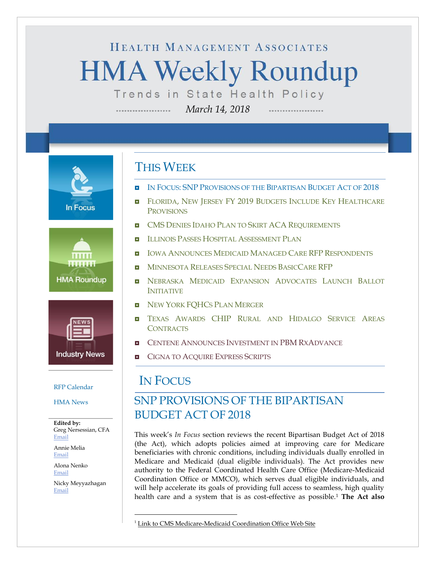# HEALTH MANAGEMENT ASSOCIATES **HMA Weekly Roundup** Trends in State Health Policy

*March 14, 2018*

**In Focus** 





[HMA News](#page-20-0)

**Edited by:** Greg Nersessian, CFA [Email](mailto:gnersessian@healthmanagement.com)

Annie Melia [Email](mailto:amelia@healthmanagement.com)

Alona Nenko [Email](mailto:anenko@healthmanagement.com)

Nicky Meyyazhagan [Email](mailto:nmeyyazhagan@healthmanagement.com)

### THIS WEEK

- IN FOCUS: SNP P[ROVISIONS OF THE](#page-0-0) BIPARTISAN BUDGET ACT OF 2018
- **E** FLORIDA, NEW JERSEY FY 2019 BUDGETS INCLUDE KEY HEALTHCARE P[ROVISIONS](#page-6-0)
- **ENGLET CMS DENIES IDAHO PLAN TO SKIRT ACA R[EQUIREMENTS](#page-10-0)**
- **ILLINOIS PASSES HOSPITAL A[SSESSMENT](#page-10-1) PLAN**
- **IOWA ANNOUNCES MEDICAID MANAGED CARE RFP R[ESPONDENTS](#page-10-2)**
- **M[INNESOTA](#page-11-0) RELEASES SPECIAL NEEDS BASICCARE RFP**
- **NEBRASKA MEDICAID EXPANSION A[DVOCATES](#page-11-1) LAUNCH BALLOT** I[NITIATIVE](#page-11-1)
- **NEW YORK FOHCS PLAN MERGER**
- **II** TEXAS AWARDS CHIP R[URAL AND](#page-16-0) HIDALGO SERVICE AREAS **C[ONTRACTS](#page-16-0)**
- **E** CENTENE ANNOUNCES I[NVESTMENT IN](#page-17-0) PBM RXADVANCE
- <span id="page-0-0"></span>**E** C[IGNA TO](#page-17-0) ACQUIRE EXPRESS SCRIPTS

# [RFP Calendar](#page-19-0) **IN FOCUS**

 $\overline{a}$ 

### SNP PROVISIONS OF THE BIPARTISAN BUDGET ACT OF 2018

This week's *In Focus* section reviews the recent Bipartisan Budget Act of 2018 (the Act), which adopts policies aimed at improving care for Medicare beneficiaries with chronic conditions, including individuals dually enrolled in Medicare and Medicaid (dual eligible individuals). The Act provides new authority to the Federal Coordinated Health Care Office (Medicare-Medicaid Coordination Office or MMCO), which serves dual eligible individuals, and will help accelerate its goals of providing full access to seamless, high quality health care and a system that is as cost-effective as possible.<sup>1</sup> **The Act also** 

<sup>&</sup>lt;sup>1</sup> [Link to CMS Medicare-Medicaid Coordination Office Web Site](https://www.cms.gov/Medicare-Medicaid-Coordination/Medicare-and-Medicaid-Coordination/Medicare-Medicaid-Coordination-Office/)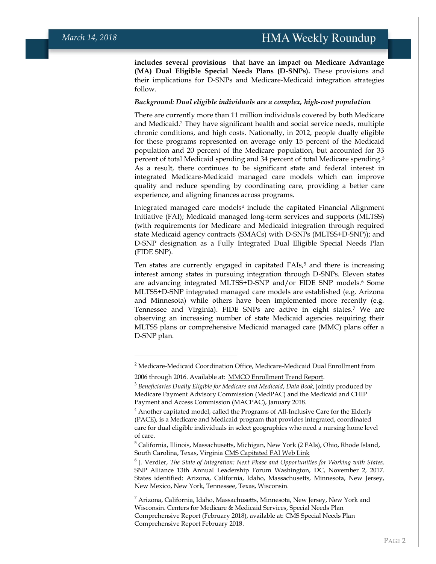**includes several provisions that have an impact on Medicare Advantage (MA) Dual Eligible Special Needs Plans (D-SNPs).** These provisions and their implications for D-SNPs and Medicare-Medicaid integration strategies follow.

#### *Background: Dual eligible individuals are a complex, high-cost population*

There are currently more than 11 million individuals covered by both Medicare and Medicaid.<sup>2</sup> They have significant health and social service needs, multiple chronic conditions, and high costs. Nationally, in 2012, people dually eligible for these programs represented on average only 15 percent of the Medicaid population and 20 percent of the Medicare population, but accounted for 33 percent of total Medicaid spending and 34 percent of total Medicare spending.<sup>3</sup> As a result, there continues to be significant state and federal interest in integrated Medicare-Medicaid managed care models which can improve quality and reduce spending by coordinating care, providing a better care experience, and aligning finances across programs.

Integrated managed care models<sup>4</sup> include the capitated Financial Alignment Initiative (FAI); Medicaid managed long-term services and supports (MLTSS) (with requirements for Medicare and Medicaid integration through required state Medicaid agency contracts (SMACs) with D-SNPs (MLTSS+D-SNP)); and D-SNP designation as a Fully Integrated Dual Eligible Special Needs Plan (FIDE SNP).

Ten states are currently engaged in capitated  $FAIs<sub>2</sub>$ <sup>5</sup> and there is increasing interest among states in pursuing integration through D-SNPs. Eleven states are advancing integrated MLTSS+D-SNP and/or FIDE SNP models.<sup>6</sup> Some MLTSS+D-SNP integrated managed care models are established (e.g. Arizona and Minnesota) while others have been implemented more recently (e.g. Tennessee and Virginia). FIDE SNPs are active in eight states.<sup>7</sup> We are observing an increasing number of state Medicaid agencies requiring their MLTSS plans or comprehensive Medicaid managed care (MMC) plans offer a D-SNP plan.

 $\overline{a}$ 

<sup>&</sup>lt;sup>2</sup> Medicare-Medicaid Coordination Office, Medicare-Medicaid Dual Enrollment from

<sup>2006</sup> through 2016. Available at: [MMCO Enrollment Trend Report.](https://www.cms.gov/Medicare-Medicaid-Coordination/Medicare-and-Medicaid-Coordination/Medicare-Medicaid-Coordination%1fOffice/DataStatisticalResources/Downloads/Eleven-YearEver-EnrolledTrendsReport_2006-2016.pdf)

<sup>3</sup> *Beneficiaries Dually Eligible for Medicare and Medicaid*, *Data Book*, jointly produced by Medicare Payment Advisory Commission (MedPAC) and the Medicaid and CHIP Payment and Access Commission (MACPAC), January 2018.

 $4$  Another capitated model, called the Programs of All-Inclusive Care for the Elderly (PACE), is a Medicare and Medicaid program that provides integrated, coordinated care for dual eligible individuals in select geographies who need a nursing home level of care.

<sup>5</sup> California, Illinois, Massachusetts, Michigan, New York (2 FAIs), Ohio, Rhode Island, South Carolina, Texas, Virgini[a CMS Capitated FAI Web Link](https://www.cms.gov/Medicare-Medicaid-Coordination/Medicare-and-Medicaid-Coordination/Medicare-Medicaid-Coordination-Office/FinancialAlignmentInitiative/CapitatedModel.html)

<sup>6</sup> J. Verdier, *The State of Integration: Next Phase and Opportunities for Working with States,* SNP Alliance 13th Annual Leadership Forum Washington, DC, November 2, 2017. States identified: Arizona, California, Idaho, Massachusetts, Minnesota, New Jersey, New Mexico, New York, Tennessee, Texas, Wisconsin.

 $<sup>7</sup>$  Arizona, California, Idaho, Massachusetts, Minnesota, New Jersey, New York and</sup> Wisconsin. Centers for Medicare & Medicaid Services, Special Needs Plan Comprehensive Report (February 2018), available at: [CMS Special Needs Plan](https://www.cms.gov/Research-Statistics-Data-and-Systems/Statistics-Trends-and-Reports/MCRAdvPartDEnrolData/Special-Needs-Plan-SNP-Data.html?DLSort=1&DLEntries=10&DLPage=1&DLSortDir=descending)  [Comprehensive Report February 2018.](https://www.cms.gov/Research-Statistics-Data-and-Systems/Statistics-Trends-and-Reports/MCRAdvPartDEnrolData/Special-Needs-Plan-SNP-Data.html?DLSort=1&DLEntries=10&DLPage=1&DLSortDir=descending)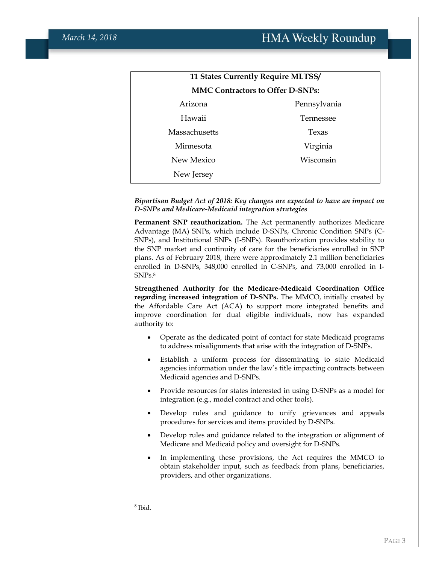| <b>11 States Currently Require MLTSS/</b> |              |  |
|-------------------------------------------|--------------|--|
| <b>MMC Contractors to Offer D-SNPs:</b>   |              |  |
| Arizona                                   | Pennsylvania |  |
| Hawaii                                    | Tennessee    |  |
| Massachusetts                             | Texas        |  |
| Minnesota                                 | Virginia     |  |
| New Mexico                                | Wisconsin    |  |
| New Jersey                                |              |  |

#### *Bipartisan Budget Act of 2018: Key changes are expected to have an impact on D-SNPs and Medicare-Medicaid integration strategies*

**Permanent SNP reauthorization.** The Act permanently authorizes Medicare Advantage (MA) SNPs, which include D-SNPs, Chronic Condition SNPs (C-SNPs), and Institutional SNPs (I-SNPs). Reauthorization provides stability to the SNP market and continuity of care for the beneficiaries enrolled in SNP plans. As of February 2018, there were approximately 2.1 million beneficiaries enrolled in D-SNPs, 348,000 enrolled in C-SNPs, and 73,000 enrolled in I-SNPs.<sup>8</sup>

**Strengthened Authority for the Medicare-Medicaid Coordination Office regarding increased integration of D-SNPs.** The MMCO, initially created by the Affordable Care Act (ACA) to support more integrated benefits and improve coordination for dual eligible individuals, now has expanded authority to:

- Operate as the dedicated point of contact for state Medicaid programs to address misalignments that arise with the integration of D-SNPs.
- Establish a uniform process for disseminating to state Medicaid agencies information under the law's title impacting contracts between Medicaid agencies and D-SNPs.
- Provide resources for states interested in using D-SNPs as a model for integration (e.g., model contract and other tools).
- Develop rules and guidance to unify grievances and appeals procedures for services and items provided by D-SNPs.
- Develop rules and guidance related to the integration or alignment of Medicare and Medicaid policy and oversight for D-SNPs.
- In implementing these provisions, the Act requires the MMCO to obtain stakeholder input, such as feedback from plans, beneficiaries, providers, and other organizations.

 $\overline{a}$ 

<sup>8</sup> Ibid.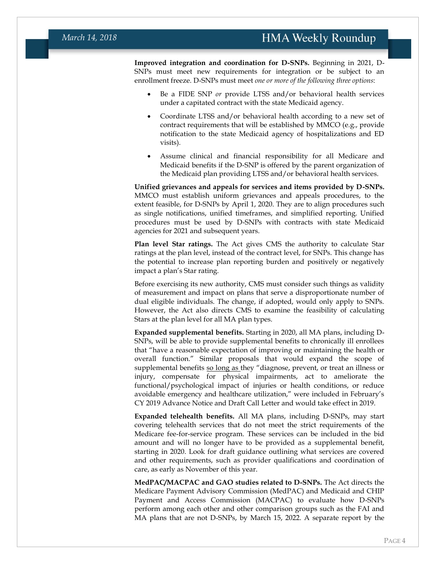**Improved integration and coordination for D-SNPs.** Beginning in 2021, D-SNPs must meet new requirements for integration or be subject to an enrollment freeze. D-SNPs must meet *one or more of the following three options*:

- Be a FIDE SNP *or* provide LTSS and/or behavioral health services under a capitated contract with the state Medicaid agency.
- Coordinate LTSS and/or behavioral health according to a new set of contract requirements that will be established by MMCO (e.g., provide notification to the state Medicaid agency of hospitalizations and ED visits).
- Assume clinical and financial responsibility for all Medicare and Medicaid benefits if the D-SNP is offered by the parent organization of the Medicaid plan providing LTSS and/or behavioral health services.

**Unified grievances and appeals for services and items provided by D-SNPs.** MMCO must establish uniform grievances and appeals procedures, to the extent feasible, for D-SNPs by April 1, 2020. They are to align procedures such as single notifications, unified timeframes, and simplified reporting. Unified procedures must be used by D-SNPs with contracts with state Medicaid agencies for 2021 and subsequent years.

**Plan level Star ratings.** The Act gives CMS the authority to calculate Star ratings at the plan level, instead of the contract level, for SNPs. This change has the potential to increase plan reporting burden and positively or negatively impact a plan's Star rating.

Before exercising its new authority, CMS must consider such things as validity of measurement and impact on plans that serve a disproportionate number of dual eligible individuals. The change, if adopted, would only apply to SNPs. However, the Act also directs CMS to examine the feasibility of calculating Stars at the plan level for all MA plan types.

**Expanded supplemental benefits.** Starting in 2020, all MA plans, including D-SNPs, will be able to provide supplemental benefits to chronically ill enrollees that "have a reasonable expectation of improving or maintaining the health or overall function." Similar proposals that would expand the scope of supplemental benefits so long as they "diagnose, prevent, or treat an illness or injury, compensate for physical impairments, act to ameliorate the functional/psychological impact of injuries or health conditions, or reduce avoidable emergency and healthcare utilization," were included in February's CY 2019 Advance Notice and Draft Call Letter and would take effect in 2019.

**Expanded telehealth benefits.** All MA plans, including D-SNPs, may start covering telehealth services that do not meet the strict requirements of the Medicare fee-for-service program. These services can be included in the bid amount and will no longer have to be provided as a supplemental benefit, starting in 2020. Look for draft guidance outlining what services are covered and other requirements, such as provider qualifications and coordination of care, as early as November of this year.

**MedPAC/MACPAC and GAO studies related to D-SNPs.** The Act directs the Medicare Payment Advisory Commission (MedPAC) and Medicaid and CHIP Payment and Access Commission (MACPAC) to evaluate how D-SNPs perform among each other and other comparison groups such as the FAI and MA plans that are not D-SNPs, by March 15, 2022. A separate report by the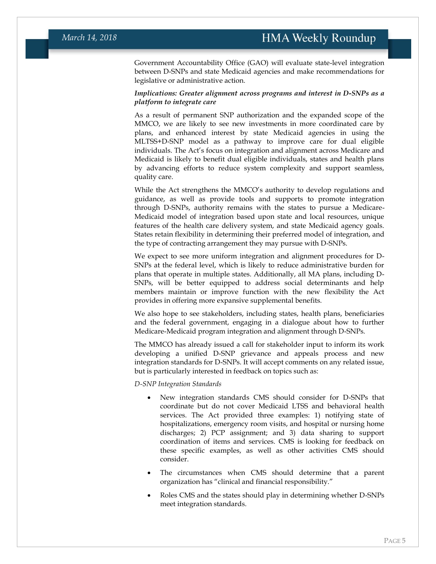Government Accountability Office (GAO) will evaluate state-level integration between D-SNPs and state Medicaid agencies and make recommendations for legislative or administrative action.

#### *Implications: Greater alignment across programs and interest in D-SNPs as a platform to integrate care*

As a result of permanent SNP authorization and the expanded scope of the MMCO, we are likely to see new investments in more coordinated care by plans, and enhanced interest by state Medicaid agencies in using the MLTSS+D-SNP model as a pathway to improve care for dual eligible individuals. The Act's focus on integration and alignment across Medicare and Medicaid is likely to benefit dual eligible individuals, states and health plans by advancing efforts to reduce system complexity and support seamless, quality care.

While the Act strengthens the MMCO's authority to develop regulations and guidance, as well as provide tools and supports to promote integration through D-SNPs, authority remains with the states to pursue a Medicare-Medicaid model of integration based upon state and local resources, unique features of the health care delivery system, and state Medicaid agency goals. States retain flexibility in determining their preferred model of integration, and the type of contracting arrangement they may pursue with D-SNPs.

We expect to see more uniform integration and alignment procedures for D-SNPs at the federal level, which is likely to reduce administrative burden for plans that operate in multiple states. Additionally, all MA plans, including D-SNPs, will be better equipped to address social determinants and help members maintain or improve function with the new flexibility the Act provides in offering more expansive supplemental benefits.

We also hope to see stakeholders, including states, health plans, beneficiaries and the federal government, engaging in a dialogue about how to further Medicare-Medicaid program integration and alignment through D-SNPs.

The MMCO has already issued a call for stakeholder input to inform its work developing a unified D-SNP grievance and appeals process and new integration standards for D-SNPs. It will accept comments on any related issue, but is particularly interested in feedback on topics such as:

*D-SNP Integration Standards*

- New integration standards CMS should consider for D-SNPs that coordinate but do not cover Medicaid LTSS and behavioral health services. The Act provided three examples: 1) notifying state of hospitalizations, emergency room visits, and hospital or nursing home discharges; 2) PCP assignment; and 3) data sharing to support coordination of items and services. CMS is looking for feedback on these specific examples, as well as other activities CMS should consider.
- The circumstances when CMS should determine that a parent organization has "clinical and financial responsibility."
- Roles CMS and the states should play in determining whether D-SNPs meet integration standards.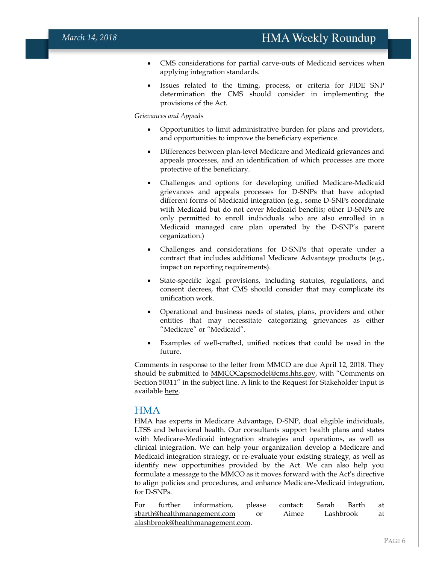- CMS considerations for partial carve-outs of Medicaid services when applying integration standards.
- Issues related to the timing, process, or criteria for FIDE SNP determination the CMS should consider in implementing the provisions of the Act.

#### *Grievances and Appeals*

- Opportunities to limit administrative burden for plans and providers, and opportunities to improve the beneficiary experience.
- Differences between plan-level Medicare and Medicaid grievances and appeals processes, and an identification of which processes are more protective of the beneficiary.
- Challenges and options for developing unified Medicare-Medicaid grievances and appeals processes for D-SNPs that have adopted different forms of Medicaid integration (e.g., some D-SNPs coordinate with Medicaid but do not cover Medicaid benefits; other D-SNPs are only permitted to enroll individuals who are also enrolled in a Medicaid managed care plan operated by the D-SNP's parent organization.)
- Challenges and considerations for D-SNPs that operate under a contract that includes additional Medicare Advantage products (e.g., impact on reporting requirements).
- State-specific legal provisions, including statutes, regulations, and consent decrees, that CMS should consider that may complicate its unification work.
- Operational and business needs of states, plans, providers and other entities that may necessitate categorizing grievances as either "Medicare" or "Medicaid".
- Examples of well-crafted, unified notices that could be used in the future.

Comments in response to the letter from MMCO are due April 12, 2018. They should be submitted to [MMCOCapsmodel@cms.hhs.gov](mailto:MMCOCapsmodel@cms.hhs.gov), with "Comments on Section 50311" in the subject line. A link to the Request for Stakeholder Input is available [here.](https://www.cms.gov/Medicare-Medicaid-Coordination/Medicare-and-Medicaid-Coordination/Medicare-Medicaid-Coordination-Office/Downloads/RequestForStakeholderInputBBADSNPProvisions03132018.pdf)

#### **HMA**

HMA has experts in Medicare Advantage, D-SNP, dual eligible individuals, LTSS and behavioral health. Our consultants support health plans and states with Medicare-Medicaid integration strategies and operations, as well as clinical integration. We can help your organization develop a Medicare and Medicaid integration strategy, or re-evaluate your existing strategy, as well as identify new opportunities provided by the Act. We can also help you formulate a message to the MMCO as it moves forward with the Act's directive to align policies and procedures, and enhance Medicare-Medicaid integration, for D-SNPs.

For further information, please contact: Sarah Barth at [sbarth@healthmanagement.com](mailto:sbarth@healthmanagement.com) or Aimee Lashbrook at [alashbrook@healthmanagement.com.](mailto:alashbrook@healthmanagement.com)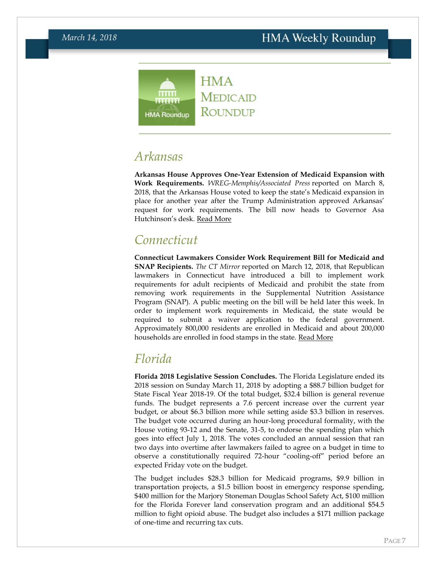#### **HMA**  $m m$ MEDICAID ....... ROUNDUP **HMA Roundup**

*Arkansas*

**Arkansas House Approves One-Year Extension of Medicaid Expansion with Work Requirements.** *WREG-Memphis/Associated Press* reported on March 8, 2018, that the Arkansas House voted to keep the state's Medicaid expansion in place for another year after the Trump Administration approved Arkansas' request for work requirements. The bill now heads to Governor Asa Hutchinson's desk. [Read More](http://wreg.com/2018/03/08/arkansas-house-gives-final-ok-to-keeping-medicaid-expansion/)

### *Connecticut*

**Connecticut Lawmakers Consider Work Requirement Bill for Medicaid and SNAP Recipients.** *The CT Mirror* reported on March 12, 2018, that Republican lawmakers in Connecticut have introduced a bill to implement work requirements for adult recipients of Medicaid and prohibit the state from removing work requirements in the Supplemental Nutrition Assistance Program (SNAP). A public meeting on the bill will be held later this week. In order to implement work requirements in Medicaid, the state would be required to submit a waiver application to the federal government. Approximately 800,000 residents are enrolled in Medicaid and about 200,000 households are enrolled in food stamps in the state. [Read More](https://ctmirror.org/2018/03/12/ct-bill-require-certain-medicaid-enrollees-work/)

## <span id="page-6-0"></span>*Florida*

**Florida 2018 Legislative Session Concludes.** The Florida Legislature ended its 2018 session on Sunday March 11, 2018 by adopting a \$88.7 billion budget for State Fiscal Year 2018-19. Of the total budget, \$32.4 billion is general revenue funds. The budget represents a 7.6 percent increase over the current year budget, or about \$6.3 billion more while setting aside \$3.3 billion in reserves. The budget vote occurred during an hour-long procedural formality, with the House voting 93-12 and the Senate, 31-5, to endorse the spending plan which goes into effect July 1, 2018. The votes concluded an annual session that ran two days into overtime after lawmakers failed to agree on a budget in time to observe a constitutionally required 72-hour "cooling-off" period before an expected Friday vote on the budget.

The budget includes \$28.3 billion for Medicaid programs, \$9.9 billion in transportation projects, a \$1.5 billion boost in emergency response spending, \$400 million for the Marjory Stoneman Douglas School Safety Act, \$100 million for the Florida Forever land conservation program and an additional \$54.5 million to fight opioid abuse. The budget also includes a \$171 million package of one-time and recurring tax cuts.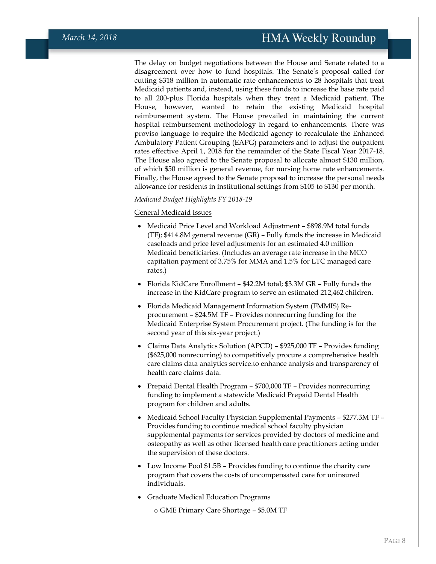The delay on budget negotiations between the House and Senate related to a disagreement over how to fund hospitals. The Senate's proposal called for cutting \$318 million in automatic rate enhancements to 28 hospitals that treat Medicaid patients and, instead, using these funds to increase the base rate paid to all 200-plus Florida hospitals when they treat a Medicaid patient. The House, however, wanted to retain the existing Medicaid hospital reimbursement system. The House prevailed in maintaining the current hospital reimbursement methodology in regard to enhancements. There was proviso language to require the Medicaid agency to recalculate the Enhanced Ambulatory Patient Grouping (EAPG) parameters and to adjust the outpatient rates effective April 1, 2018 for the remainder of the State Fiscal Year 2017-18. The House also agreed to the Senate proposal to allocate almost \$130 million, of which \$50 million is general revenue, for nursing home rate enhancements. Finally, the House agreed to the Senate proposal to increase the personal needs allowance for residents in institutional settings from \$105 to \$130 per month.

#### *Medicaid Budget Highlights FY 2018-19*

#### General Medicaid Issues

- Medicaid Price Level and Workload Adjustment \$898.9M total funds (TF); \$414.8M general revenue (GR) – Fully funds the increase in Medicaid caseloads and price level adjustments for an estimated 4.0 million Medicaid beneficiaries. (Includes an average rate increase in the MCO capitation payment of 3.75% for MMA and 1.5% for LTC managed care rates.)
- Florida KidCare Enrollment \$42.2M total; \$3.3M GR Fully funds the increase in the KidCare program to serve an estimated 212,462 children.
- Florida Medicaid Management Information System (FMMIS) Reprocurement – \$24.5M TF – Provides nonrecurring funding for the Medicaid Enterprise System Procurement project. (The funding is for the second year of this six-year project.)
- Claims Data Analytics Solution (APCD) \$925,000 TF Provides funding (\$625,000 nonrecurring) to competitively procure a comprehensive health care claims data analytics service.to enhance analysis and transparency of health care claims data.
- Prepaid Dental Health Program \$700,000 TF Provides nonrecurring funding to implement a statewide Medicaid Prepaid Dental Health program for children and adults.
- Medicaid School Faculty Physician Supplemental Payments \$277.3M TF Provides funding to continue medical school faculty physician supplemental payments for services provided by doctors of medicine and osteopathy as well as other licensed health care practitioners acting under the supervision of these doctors.
- Low Income Pool \$1.5B Provides funding to continue the charity care program that covers the costs of uncompensated care for uninsured individuals.
- Graduate Medical Education Programs

o GME Primary Care Shortage – \$5.0M TF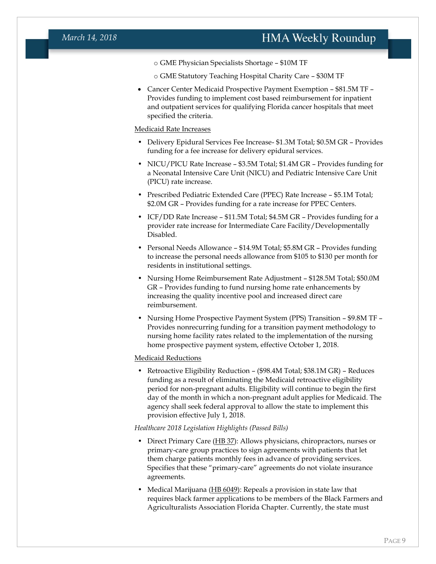#### *March 14, 2018*

- o GME Physician Specialists Shortage \$10M TF
- o GME Statutory Teaching Hospital Charity Care \$30M TF
- Cancer Center Medicaid Prospective Payment Exemption \$81.5M TF Provides funding to implement cost based reimbursement for inpatient and outpatient services for qualifying Florida cancer hospitals that meet specified the criteria.

#### Medicaid Rate Increases

- Delivery Epidural Services Fee Increase- \$1.3M Total; \$0.5M GR Provides funding for a fee increase for delivery epidural services.
- NICU/PICU Rate Increase \$3.5M Total; \$1.4M GR Provides funding for a Neonatal Intensive Care Unit (NICU) and Pediatric Intensive Care Unit (PICU) rate increase.
- Prescribed Pediatric Extended Care (PPEC) Rate Increase \$5.1M Total; \$2.0M GR – Provides funding for a rate increase for PPEC Centers.
- ICF/DD Rate Increase \$11.5M Total; \$4.5M GR Provides funding for a provider rate increase for Intermediate Care Facility/Developmentally Disabled.
- Personal Needs Allowance \$14.9M Total; \$5.8M GR Provides funding to increase the personal needs allowance from \$105 to \$130 per month for residents in institutional settings.
- Nursing Home Reimbursement Rate Adjustment \$128.5M Total; \$50.0M GR – Provides funding to fund nursing home rate enhancements by increasing the quality incentive pool and increased direct care reimbursement.
- Nursing Home Prospective Payment System (PPS) Transition \$9.8M TF Provides nonrecurring funding for a transition payment methodology to nursing home facility rates related to the implementation of the nursing home prospective payment system, effective October 1, 2018.

#### Medicaid Reductions

• Retroactive Eligibility Reduction – (\$98.4M Total; \$38.1M GR) – Reduces funding as a result of eliminating the Medicaid retroactive eligibility period for non-pregnant adults. Eligibility will continue to begin the first day of the month in which a non-pregnant adult applies for Medicaid. The agency shall seek federal approval to allow the state to implement this provision effective July 1, 2018.

#### *Healthcare 2018 Legislation Highlights (Passed Bills)*

- Direct Primary Care [\(HB 37\)](http://www.flsenate.gov/Session/Bill/2018/00037): Allows physicians, chiropractors, nurses or primary-care group practices to sign agreements with patients that let them charge patients monthly fees in advance of providing services. Specifies that these "primary-care" agreements do not violate insurance agreements.
- Medical Marijuana [\(HB 6049\)](http://www.flsenate.gov/Session/Bill/2018/06049): Repeals a provision in state law that requires black farmer applications to be members of the Black Farmers and Agriculturalists Association Florida Chapter. Currently, the state must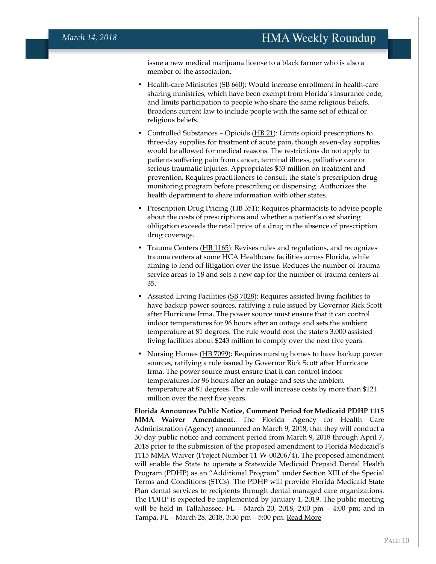issue a new medical marijuana license to a black farmer who is also a member of the association.

- Health-care Ministries [\(SB 660\)](http://www.flsenate.gov/Session/Bill/2018/00660): Would increase enrollment in health-care sharing ministries, which have been exempt from Florida's insurance code, and limits participation to people who share the same religious beliefs. Broadens current law to include people with the same set of ethical or religious beliefs.
- Controlled Substances Opioids [\(HB](http://www.flsenate.gov/Session/Bill/2018/00021) 21): Limits opioid prescriptions to three-day supplies for treatment of acute pain, though seven-day supplies would be allowed for medical reasons. The restrictions do not apply to patients suffering pain from cancer, terminal illness, palliative care or serious traumatic injuries. Appropriates \$53 million on treatment and prevention. Requires practitioners to consult the state's prescription drug monitoring program before prescribing or dispensing. Authorizes the health department to share information with other states.
- Prescription Drug Pricing [\(HB 351\)](http://www.flsenate.gov/Session/Bill/2018/00351): Requires pharmacists to advise people about the costs of prescriptions and whether a patient's cost sharing obligation exceeds the retail price of a drug in the absence of prescription drug coverage.
- Trauma Centers [\(HB 1165\)](http://www.flsenate.gov/Session/Bill/2018/01165): Revises rules and regulations, and recognizes trauma centers at some HCA Healthcare facilities across Florida, while aiming to fend off litigation over the issue. Reduces the number of trauma service areas to 18 and sets a new cap for the number of trauma centers at 35.
- Assisted Living Facilities [\(SB 7028\)](http://www.flsenate.gov/Session/Bill/2018/07028): Requires assisted living facilities to have backup power sources, ratifying a rule issued by Governor Rick Scott after Hurricane Irma. The power source must ensure that it can control indoor temperatures for 96 hours after an outage and sets the ambient temperature at 81 degrees. The rule would cost the state's 3,000 assisted living facilities about \$243 million to comply over the next five years.
- Nursing Homes [\(HB 7099\)](http://www.flsenate.gov/Session/Bill/2018/07099): Requires nursing homes to have backup power sources, ratifying a rule issued by Governor Rick Scott after Hurricane Irma. The power source must ensure that it can control indoor temperatures for 96 hours after an outage and sets the ambient temperature at 81 degrees. The rule will increase costs by more than \$121 million over the next five years.

**Florida Announces Public Notice, Comment Period for Medicaid PDHP 1115 MMA Waiver Amendment.** The Florida Agency for Health Care Administration (Agency) announced on March 9, 2018, that they will conduct a 30-day public notice and comment period from March 9, 2018 through April 7, 2018 prior to the submission of the proposed amendment to Florida Medicaid's 1115 MMA Waiver (Project Number 11-W-00206/4). The proposed amendment will enable the State to operate a Statewide Medicaid Prepaid Dental Health Program (PDHP) as an "Additional Program" under Section XIII of the Special Terms and Conditions (STCs). The PDHP will provide Florida Medicaid State Plan dental services to recipients through dental managed care organizations. The PDHP is expected be implemented by January 1, 2019. The public meeting will be held in Tallahassee, FL – March 20, 2018, 2:00 pm – 4:00 pm; and in Tampa, FL – March 28, 2018, 3:30 pm – 5:00 pm. [Read More](http://ahca.myflorida.com/medicaid/Policy_and_Quality/Policy/federal_authorities/federal_waivers/mma_amend_waiver_Ppd_Dental_2018-03.shtml)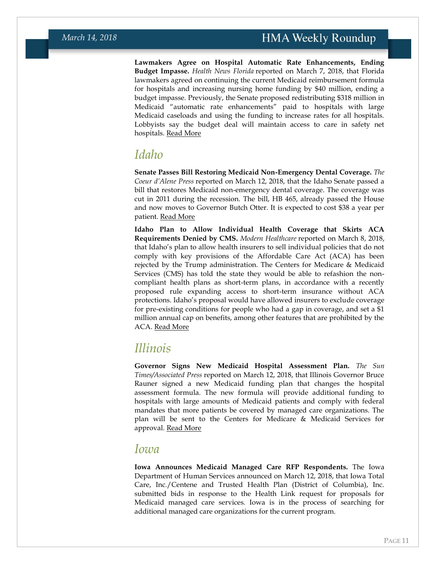**Lawmakers Agree on Hospital Automatic Rate Enhancements, Ending Budget Impasse.** *Health News Florida* reported on March 7, 2018, that Florida lawmakers agreed on continuing the current Medicaid reimbursement formula for hospitals and increasing nursing home funding by \$40 million, ending a budget impasse. Previously, the Senate proposed redistributing \$318 million in Medicaid "automatic rate enhancements" paid to hospitals with large Medicaid caseloads and using the funding to increase rates for all hospitals. Lobbyists say the budget deal will maintain access to care in safety net hospitals. [Read More](http://health.wusf.usf.edu/post/hospital-agreement-ends-budget-standoff#stream/0)

## <span id="page-10-0"></span>*Idaho*

**Senate Passes Bill Restoring Medicaid Non-Emergency Dental Coverage.** *The Coeur d'Alene Press* reported on March 12, 2018, that the Idaho Senate passed a bill that restores Medicaid non-emergency dental coverage. The coverage was cut in 2011 during the recession. The bill, HB 465, already passed the House and now moves to Governor Butch Otter. It is expected to cost \$38 a year per patient. [Read More](http://www.cdapress.com/local_news/20180312/bill_to_restore_medicaid_non-emergency_dental_coverage_goes_to_gov_otter)

**Idaho Plan to Allow Individual Health Coverage that Skirts ACA Requirements Denied by CMS.** *Modern Healthcare* reported on March 8, 2018, that Idaho's plan to allow health insurers to sell individual policies that do not comply with key provisions of the Affordable Care Act (ACA) has been rejected by the Trump administration. The Centers for Medicare & Medicaid Services (CMS) has told the state they would be able to refashion the noncompliant health plans as short-term plans, in accordance with a recently proposed rule expanding access to short-term insurance without ACA protections. Idaho's proposal would have allowed insurers to exclude coverage for pre-existing conditions for people who had a gap in coverage, and set a \$1 million annual cap on benefits, among other features that are prohibited by the ACA. [Read More](http://www.modernhealthcare.com/article/20180308/NEWS/180309904/cms-nixes-idahos-aca-workaround-but-encourages-short-term-plans)

### <span id="page-10-1"></span>*Illinois*

**Governor Signs New Medicaid Hospital Assessment Plan.** *The Sun Times/Associated Press* reported on March 12, 2018, that Illinois Governor Bruce Rauner signed a new Medicaid funding plan that changes the hospital assessment formula. The new formula will provide additional funding to hospitals with large amounts of Medicaid patients and comply with federal mandates that more patients be covered by managed care organizations. The plan will be sent to the Centers for Medicare & Medicaid Services for approval. [Read More](https://chicago.suntimes.com/news/bruce-rauner-medicaid-funding-hospitals-low-income-patients/)

#### <span id="page-10-2"></span>*Iowa*

**Iowa Announces Medicaid Managed Care RFP Respondents.** The Iowa Department of Human Services announced on March 12, 2018, that Iowa Total Care, Inc./Centene and Trusted Health Plan (District of Columbia), Inc. submitted bids in response to the Health Link request for proposals for Medicaid managed care services. Iowa is in the process of searching for additional managed care organizations for the current program.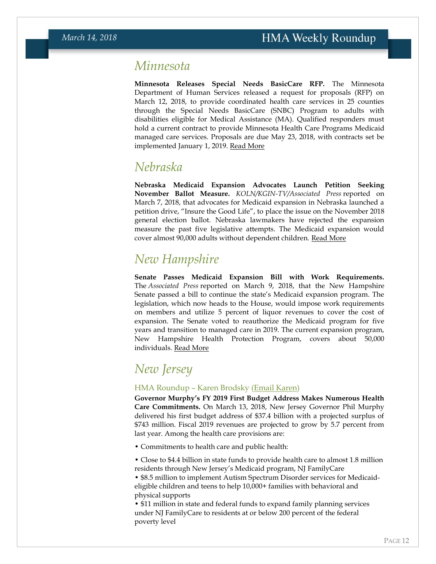### <span id="page-11-0"></span>*Minnesota*

**Minnesota Releases Special Needs BasicCare RFP.** The Minnesota Department of Human Services released a request for proposals (RFP) on March 12, 2018, to provide coordinated health care services in 25 counties through the Special Needs BasicCare (SNBC) Program to adults with disabilities eligible for Medical Assistance (MA). Qualified responders must hold a current contract to provide Minnesota Health Care Programs Medicaid managed care services. Proposals are due May 23, 2018, with contracts set be implemented January 1, 2019. [Read More](http://mn.gov/dhs/partners-and-providers/grants-rfps/open-rfps/index.jsp?id=1053-328546)

### <span id="page-11-1"></span>*Nebraska*

**Nebraska Medicaid Expansion Advocates Launch Petition Seeking November Ballot Measure.** *KOLN/KGIN-TV/Associated Press* reported on March 7, 2018, that advocates for Medicaid expansion in Nebraska launched a petition drive, "Insure the Good Life", to place the issue on the November 2018 general election ballot. Nebraska lawmakers have rejected the expansion measure the past five legislative attempts. The Medicaid expansion would cover almost 90,000 adults without dependent children. [Read More](http://www.1011now.com/content/news/Medicaid-expansion-backers-to-seek-Nebraska-ballot-measure-476140873.html)

# *New Hampshire*

**Senate Passes Medicaid Expansion Bill with Work Requirements.**  The *Associated Press* reported on March 9, 2018, that the New Hampshire Senate passed a bill to continue the state's Medicaid expansion program. The legislation, which now heads to the House, would impose work requirements on members and utilize 5 percent of liquor revenues to cover the cost of expansion. The Senate voted to reauthorize the Medicaid program for five years and transition to managed care in 2019. The current expansion program, New Hampshire Health Protection Program, covers about 50,000 individuals. [Read More](https://www.apnews.com/dc8b0708896b4eb3b43d82f37f90ed34/New-Hampshire-Senate-passes-Medicaid-expansion-bill)

## *New Jersey*

#### HMA Roundup – Karen Brodsky [\(Email Karen\)](mailto:kbrodsky@healthmanagement.com)

**Governor Murphy's FY 2019 First Budget Address Makes Numerous Health Care Commitments.** On March 13, 2018, New Jersey Governor Phil Murphy delivered his first budget address of \$37.4 billion with a projected surplus of \$743 million. Fiscal 2019 revenues are projected to grow by 5.7 percent from last year. Among the health care provisions are:

• Commitments to health care and public health:

• Close to \$4.4 billion in state funds to provide health care to almost 1.8 million residents through New Jersey's Medicaid program, NJ FamilyCare

• \$8.5 million to implement Autism Spectrum Disorder services for Medicaideligible children and teens to help 10,000+ families with behavioral and physical supports

• \$11 million in state and federal funds to expand family planning services under NJ FamilyCare to residents at or below 200 percent of the federal poverty level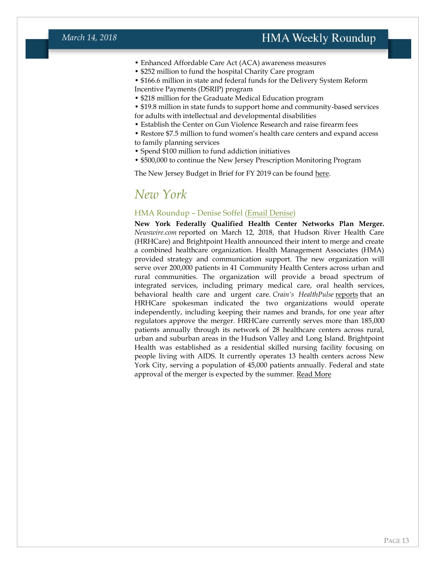- Enhanced Affordable Care Act (ACA) awareness measures
- \$252 million to fund the hospital Charity Care program
- \$166.6 million in state and federal funds for the Delivery System Reform
- Incentive Payments (DSRIP) program
- \$218 million for the Graduate Medical Education program
- \$19.8 million in state funds to support home and community-based services
- for adults with intellectual and developmental disabilities
- Establish the Center on Gun Violence Research and raise firearm fees
- Restore \$7.5 million to fund women's health care centers and expand access to family planning services
- Spend \$100 million to fund addiction initiatives
- \$500,000 to continue the New Jersey Prescription Monitoring Program

The New Jersey Budget in Brief for FY 2019 can be found [here.](http://www.nj.gov/treasury/omb/publications/19bib/BIB.pdf)

### <span id="page-12-0"></span>*New York*

#### HMA Roundup – Denise Soffel [\(Email Denise\)](mailto:dsoffel@healthmanagement.com)

**New York Federally Qualified Health Center Networks Plan Merger.**  *Newswire.com* reported on March 12, 2018, that Hudson River Health Care (HRHCare) and Brightpoint Health announced their intent to merge and create a combined healthcare organization. Health Management Associates (HMA) provided strategy and communication support. The new organization will serve over 200,000 patients in 41 Community Health Centers across urban and rural communities. The organization will provide a broad spectrum of integrated services, including primary medical care, oral health services, behavioral health care and urgent care. *Crain's HealthPulse* [reports](http://www.crainsnewyork.com/article/20180312/PULSE/180319995/hrhcare-brightpoint-health-take-first-steps-to-merge#utm_medium=email&utm_source=cnyb-pulse&utm_campaign=cnyb-pulse-20180312) that an HRHCare spokesman indicated the two organizations would operate independently, including keeping their names and brands, for one year after regulators approve the merger. HRHCare currently serves more than 185,000 patients annually through its network of 28 healthcare centers across rural, urban and suburban areas in the Hudson Valley and Long Island. Brightpoint Health was established as a residential skilled nursing facility focusing on people living with AIDS. It currently operates 13 health centers across New York City, serving a population of 45,000 patients annually. Federal and state approval of the merger is expected by the summer. [Read More](https://www.newswire.com/news/hudson-river-health-care-hrhcare-and-brightpoint-health-announce-20379423)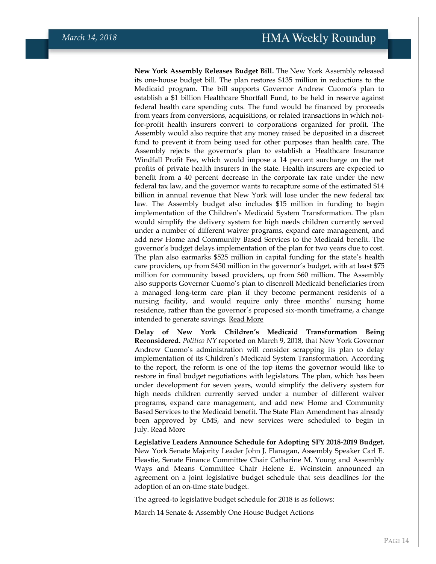**New York Assembly Releases Budget Bill.** The New York Assembly released its one-house budget bill. The plan restores \$135 million in reductions to the Medicaid program. The bill supports Governor Andrew Cuomo's plan to establish a \$1 billion Healthcare Shortfall Fund, to be held in reserve against federal health care spending cuts. The fund would be financed by proceeds from years from conversions, acquisitions, or related transactions in which notfor-profit health insurers convert to corporations organized for profit. The Assembly would also require that any money raised be deposited in a discreet fund to prevent it from being used for other purposes than health care. The Assembly rejects the governor's plan to establish a Healthcare Insurance Windfall Profit Fee, which would impose a 14 percent surcharge on the net profits of private health insurers in the state. Health insurers are expected to benefit from a 40 percent decrease in the corporate tax rate under the new federal tax law, and the governor wants to recapture some of the estimated \$14 billion in annual revenue that New York will lose under the new federal tax law. The Assembly budget also includes \$15 million in funding to begin implementation of the Children's Medicaid System Transformation. The plan would simplify the delivery system for high needs children currently served under a number of different waiver programs, expand care management, and add new Home and Community Based Services to the Medicaid benefit. The governor's budget delays implementation of the plan for two years due to cost. The plan also earmarks \$525 million in capital funding for the state's health care providers, up from \$450 million in the governor's budget, with at least \$75 million for community based providers, up from \$60 million. The Assembly also supports Governor Cuomo's plan to disenroll Medicaid beneficiaries from a managed long-term care plan if they become permanent residents of a nursing facility, and would require only three months' nursing home residence, rather than the governor's proposed six-month timeframe, a change intended to generate savings. [Read More](http://assembly.state.ny.us/leg/?bn=a9507)

**Delay of New York Children's Medicaid Transformation Being Reconsidered.** *Politico NY* reported on March 9, 2018, that New York Governor Andrew Cuomo's administration will consider scrapping its plan to delay implementation of its Children's Medicaid System Transformation. According to the report, the reform is one of the top items the governor would like to restore in final budget negotiations with legislators. The plan, which has been under development for seven years, would simplify the delivery system for high needs children currently served under a number of different waiver programs, expand care management, and add new Home and Community Based Services to the Medicaid benefit. The State Plan Amendment has already been approved by CMS, and new services were scheduled to begin in July. [Read More](https://www.politico.com/states/new-york/city-hall/story/2018/03/09/cuomo-administration-open-to-rescinding-delay-of-childrens-medicaid-redesign-307962?mc_cid=b7520f929f&mc_eid=fa1aeb31f8)

**Legislative Leaders Announce Schedule for Adopting SFY 2018-2019 Budget.**  New York Senate Majority Leader John J. Flanagan, Assembly Speaker Carl E. Heastie, Senate Finance Committee Chair Catharine M. Young and Assembly Ways and Means Committee Chair Helene E. Weinstein announced an agreement on a joint legislative budget schedule that sets deadlines for the adoption of an on-time state budget.

The agreed-to legislative budget schedule for 2018 is as follows:

March 14 Senate & Assembly One House Budget Actions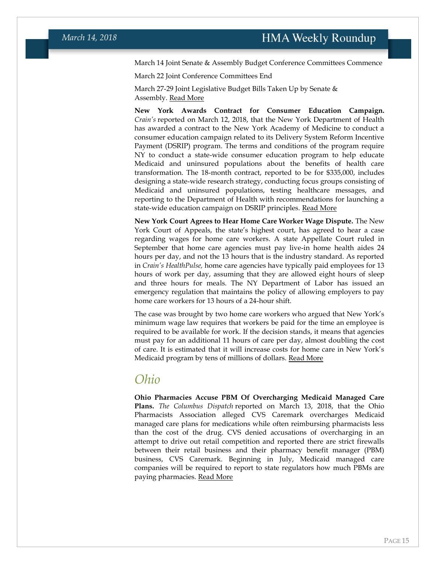March 14 Joint Senate & Assembly Budget Conference Committees Commence

March 22 Joint Conference Committees End

March 27-29 Joint Legislative Budget Bills Taken Up by Senate & Assembly. [Read More](http://assembly.state.ny.us/Press/files/20180206.php)

**New York Awards Contract for Consumer Education Campaign.** *Crain's* reported on March 12, 2018, that the New York Department of Health has awarded a contract to the New York Academy of Medicine to conduct a consumer education campaign related to its Delivery System Reform Incentive Payment (DSRIP) program. The terms and conditions of the program require NY to conduct a state-wide consumer education program to help educate Medicaid and uninsured populations about the benefits of health care transformation. The 18-month contract, reported to be for \$335,000, includes designing a state-wide research strategy, conducting focus groups consisting of Medicaid and uninsured populations, testing healthcare messages, and reporting to the Department of Health with recommendations for launching a state-wide education campaign on DSRIP principles. [Read More](http://www.crainsnewyork.com/article/20180312/PULSE/180319995/hrhcare-brightpoint-health-take-first-steps-to-merge#utm_medium=email&utm_source=cnyb-pulse&utm_campaign=cnyb-pulse-20180312)

**New York Court Agrees to Hear Home Care Worker Wage Dispute.** The New York Court of Appeals, the state's highest court, has agreed to hear a case regarding wages for home care workers. A state Appellate Court ruled in September that home care agencies must pay live-in home health aides 24 hours per day, and not the 13 hours that is the industry standard. As reported in *Crain's HealthPulse,* home care agencies have typically paid employees for 13 hours of work per day, assuming that they are allowed eight hours of sleep and three hours for meals. The NY Department of Labor has issued an emergency regulation that maintains the policy of allowing employers to pay home care workers for 13 hours of a 24-hour shift.

The case was brought by two home care workers who argued that New York's minimum wage law requires that workers be paid for the time an employee is required to be available for work. If the decision stands, it means that agencies must pay for an additional 11 hours of care per day, almost doubling the cost of care. It is estimated that it will increase costs for home care in New York's Medicaid program by tens of millions of dollars. [Read More](https://www.politicopro.com/states/new-york/albany/story/2018/03/08/high-stakes-for-home-care-industry-as-court-of-appeals-will-hear-andryeyeva-case-305416)

#### *Ohio*

**Ohio Pharmacies Accuse PBM Of Overcharging Medicaid Managed Care Plans.** *The Columbus Dispatch* reported on March 13, 2018, that the Ohio Pharmacists Association alleged CVS Caremark overcharges Medicaid managed care plans for medications while often reimbursing pharmacists less than the cost of the drug. CVS denied accusations of overcharging in an attempt to drive out retail competition and reported there are strict firewalls between their retail business and their pharmacy benefit manager (PBM) business, CVS Caremark. Beginning in July, Medicaid managed care companies will be required to report to state regulators how much PBMs are paying pharmacies. [Read More](http://www.dispatch.com/news/20180312/cvs-accused-of-using-medicaid-rolls-in-ohio-to-push-out-competition)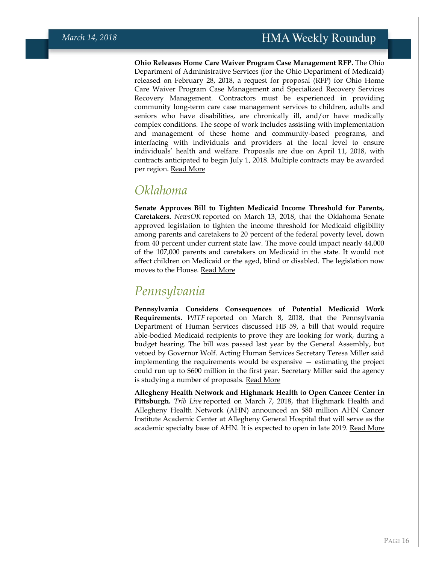**Ohio Releases Home Care Waiver Program Case Management RFP.** The Ohio Department of Administrative Services (for the Ohio Department of Medicaid) released on February 28, 2018, a request for proposal (RFP) for Ohio Home Care Waiver Program Case Management and Specialized Recovery Services Recovery Management. Contractors must be experienced in providing community long-term care case management services to children, adults and seniors who have disabilities, are chronically ill, and/or have medically complex conditions. The scope of work includes assisting with implementation and management of these home and community-based programs, and interfacing with individuals and providers at the local level to ensure individuals' health and welfare. Proposals are due on April 11, 2018, with contracts anticipated to begin July 1, 2018. Multiple contracts may be awarded per region. [Read More](https://procure.ohio.gov/proc/viewProcOpps.asp?oppID=15099)

### *Oklahoma*

**Senate Approves Bill to Tighten Medicaid Income Threshold for Parents, Caretakers.** *NewsOK* reported on March 13, 2018, that the Oklahoma Senate approved legislation to tighten the income threshold for Medicaid eligibility among parents and caretakers to 20 percent of the federal poverty level, down from 40 percent under current state law. The move could impact nearly 44,000 of the 107,000 parents and caretakers on Medicaid in the state. It would not affect children on Medicaid or the aged, blind or disabled. The legislation now moves to the House. [Read More](http://newsok.com/senate-votes-to-tighten-medicaid-eligibility-limits/article/5586827)

### *Pennsylvania*

**Pennsylvania Considers Consequences of Potential Medicaid Work Requirements.** *WITF* reported on March 8, 2018, that the Pennsylvania Department of Human Services discussed HB 59, a bill that would require able-bodied Medicaid recipients to prove they are looking for work, during a budget hearing. The bill was passed last year by the General Assembly, but vetoed by Governor Wolf. Acting Human Services Secretary Teresa Miller said implementing the requirements would be expensive — estimating the project could run up to \$600 million in the first year. Secretary Miller said the agency is studying a number of proposals. [Read More](http://www.witf.org/state-house-sound-bites/2018/03/pa-grapples-with-medicaid-work-requirements.php)

**Allegheny Health Network and Highmark Health to Open Cancer Center in Pittsburgh.** *Trib Live* reported on March 7, 2018, that Highmark Health and Allegheny Health Network (AHN) announced an \$80 million AHN Cancer Institute Academic Center at Allegheny General Hospital that will serve as the academic specialty base of AHN. It is expected to open in late 2019. [Read More](http://triblive.com/local/allegheny/13391905-74/highmark-health-allegheny-health-to-unveil-plans-for-80m-cancer-center)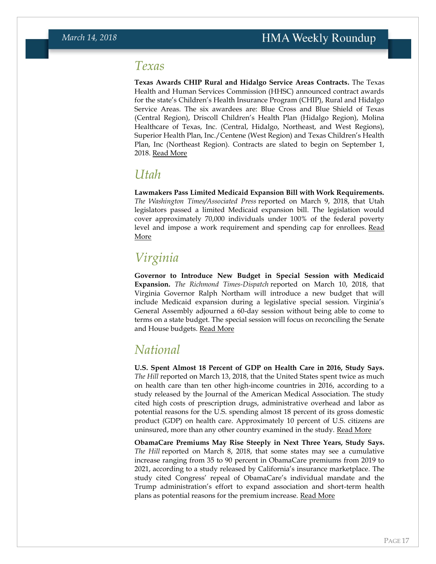### <span id="page-16-0"></span>*Texas*

**Texas Awards CHIP Rural and Hidalgo Service Areas Contracts.** The Texas Health and Human Services Commission (HHSC) announced contract awards for the state's Children's Health Insurance Program (CHIP), Rural and Hidalgo Service Areas. The six awardees are: Blue Cross and Blue Shield of Texas (Central Region), Driscoll Children's Health Plan (Hidalgo Region), Molina Healthcare of Texas, Inc. (Central, Hidalgo, Northeast, and West Regions), Superior Health Plan, Inc./Centene (West Region) and Texas Children's Health Plan, Inc (Northeast Region). Contracts are slated to begin on September 1, 2018. [Read More](http://www.txsmartbuy.com/sp/529-18-0001A)

### *Utah*

**Lawmakers Pass Limited Medicaid Expansion Bill with Work Requirements.** *The Washington Times/Associated Press* reported on March 9, 2018, that Utah legislators passed a limited Medicaid expansion bill. The legislation would cover approximately 70,000 individuals under 100% of the federal poverty level and impose a work requirement and spending cap for enrollees. [Read](https://www.washingtontimes.com/news/2018/mar/9/medicaid-expansion-among-500-plus-bills-lawmakers-/)  [More](https://www.washingtontimes.com/news/2018/mar/9/medicaid-expansion-among-500-plus-bills-lawmakers-/)

# *Virginia*

**Governor to Introduce New Budget in Special Session with Medicaid Expansion.** *The Richmond Times-Dispatch* reported on March 10, 2018, that Virginia Governor Ralph Northam will introduce a new budget that will include Medicaid expansion during a legislative special session. Virginia's General Assembly adjourned a 60-day session without being able to come to terms on a state budget. The special session will focus on reconciling the Senate and House budgets. [Read More](http://www.richmond.com/news/virginia/government-politics/general-assembly/general-assembly-adjourns--day-session-without-a-budget-special/article_77980627-08ad-57ec-83a2-a14e62d96b4e.html)

## *National*

**U.S. Spent Almost 18 Percent of GDP on Health Care in 2016, Study Says***. The Hill* reported on March 13, 2018, that the United States spent twice as much on health care than ten other high-income countries in 2016, according to a study released by the Journal of the American Medical Association. The study cited high costs of prescription drugs, administrative overhead and labor as potential reasons for the U.S. spending almost 18 percent of its gross domestic product (GDP) on health care. Approximately 10 percent of U.S. citizens are uninsured, more than any other country examined in the study. [Read More](http://thehill.com/business-a-lobbying/378221-us-spends-twice-as-much-as-other-wealthy-countries-on-health-care)

**ObamaCare Premiums May Rise Steeply in Next Three Years, Study Says.**  *The Hill* reported on March 8, 2018, that some states may see a cumulative increase ranging from 35 to 90 percent in ObamaCare premiums from 2019 to 2021, according to a study released by California's insurance marketplace. The study cited Congress' repeal of ObamaCare's individual mandate and the Trump administration's effort to expand association and short-term health plans as potential reasons for the premium increase. [Read More](http://thehill.com/policy/healthcare/377465-study-obamacare-premiums-could-increase-90-percent-over-three-years-for)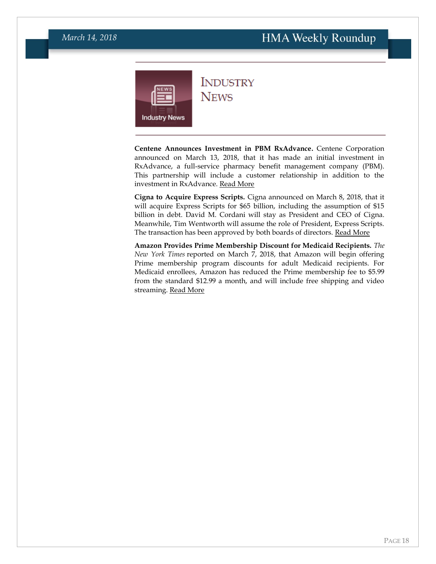<span id="page-17-0"></span>

**INDUSTRY NEWS** 

**Centene Announces Investment in PBM RxAdvance.** Centene Corporation announced on March 13, 2018, that it has made an initial investment in RxAdvance, a full-service pharmacy benefit management company (PBM). This partnership will include a customer relationship in addition to the investment in RxAdvance. [Read More](https://centene.gcs-web.com/news-releases/news-release-details/centene-and-rxadvance-establish-transformative-partnership)

**Cigna to Acquire Express Scripts.** Cigna announced on March 8, 2018, that it will acquire Express Scripts for \$65 billion, including the assumption of \$15 billion in debt. David M. Cordani will stay as President and CEO of Cigna. Meanwhile, Tim Wentworth will assume the role of President, Express Scripts. The transaction has been approved by both boards of directors. [Read More](https://www.cigna.com/newsroom/news-releases/2018/cigna-to-acquire-express-scripts-for-67-billion)

**Amazon Provides Prime Membership Discount for Medicaid Recipients.** *The New York Times* reported on March 7, 2018, that Amazon will begin offering Prime membership program discounts for adult Medicaid recipients. For Medicaid enrollees, Amazon has reduced the Prime membership fee to \$5.99 from the standard \$12.99 a month, and will include free shipping and video streaming. [Read More](https://www.nytimes.com/2018/03/07/technology/amazon-prime-medicaid.html)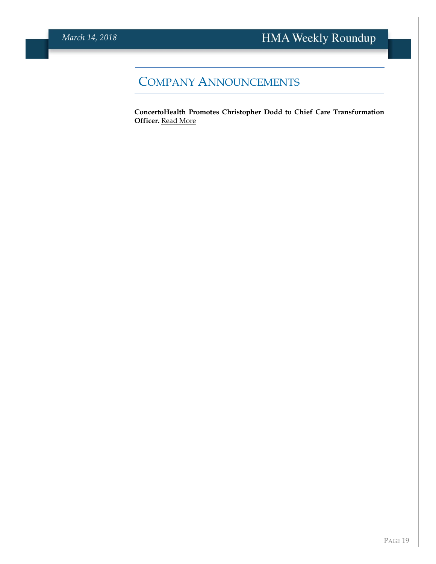# COMPANY ANNOUNCEMENTS

**ConcertoHealth Promotes Christopher Dodd to Chief Care Transformation Officer.** [Read More](https://www.prnewswire.com/news-releases/concertohealth-promotes-christopher-dodd-to-chief-care-transformation-officer-300606645.html)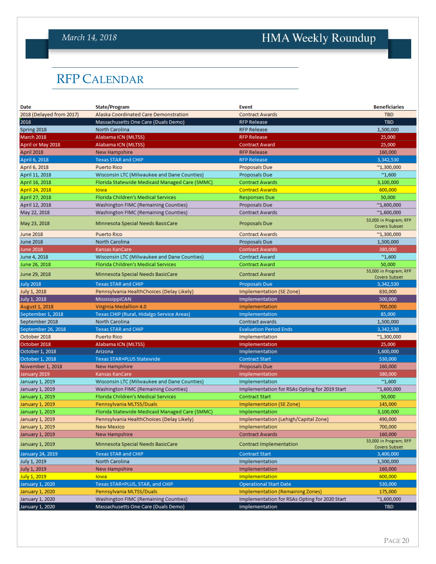### *March 14, 2018*

# HMA Weekly Roundup

# <span id="page-19-0"></span>RFP CALENDAR

| Date                     | <b>State/Program</b>                           | <b>Event</b>                                  | <b>Beneficiaries</b>                           |
|--------------------------|------------------------------------------------|-----------------------------------------------|------------------------------------------------|
| 2018 (Delayed from 2017) | Alaska Coordinated Care Demonstration          | <b>Contract Awards</b>                        | <b>TBD</b>                                     |
| 2018                     | Massachusetts One Care (Duals Demo)            | <b>RFP Release</b>                            | <b>TBD</b>                                     |
| Spring 2018              | North Carolina                                 | <b>RFP Release</b>                            | 1,500,000                                      |
| March 2018               | Alabama ICN (MLTSS)                            | <b>RFP Release</b>                            | 25,000                                         |
| April or May 2018        | Alabama ICN (MLTSS)                            | <b>Contract Award</b>                         | 25,000                                         |
| April 2018               | New Hampshire                                  | <b>RFP Release</b>                            | 160,000                                        |
| April 6, 2018            | <b>Texas STAR and CHIP</b>                     | <b>RFP Release</b>                            | 3,342,530                                      |
| April 6, 2018            | <b>Puerto Rico</b>                             | Proposals Due                                 | $^{\sim}$ 1,300,000                            |
| April 11, 2018           | Wisconsin LTC (Milwaukee and Dane Counties)    | Proposals Due                                 | $^{\sim}1,600$                                 |
| April 16, 2018           | Florida Statewide Medicaid Managed Care (SMMC) | <b>Contract Awards</b>                        | 3,100,000                                      |
| April 24, 2018           | lowa                                           | <b>Contract Awards</b>                        | 600,000                                        |
| April 27, 2018           | Florida Children's Medical Services            | <b>Responses Due</b>                          | 50,000                                         |
| April 12, 2018           | Washington FIMC (Remaining Counties)           | Proposals Due                                 | $^{\prime\prime}1,600,000$                     |
| May 22, 2018             | <b>Washington FIMC (Remaining Counties)</b>    | <b>Contract Awards</b>                        | $^{\sim}$ 1,600,000                            |
|                          |                                                |                                               | 53,000 in Program; RFP                         |
| May 23, 2018             | Minnesota Special Needs BasicCare              | Proposals Due                                 | Covers Subset                                  |
| <b>June 2018</b>         | <b>Puerto Rico</b>                             | <b>Contract Awards</b>                        | $^{\prime\prime}$ 1,300,000                    |
| <b>June 2018</b>         | North Carolina                                 | Proposals Due                                 | 1,500,000                                      |
| <b>June 2018</b>         | Kansas KanCare                                 | <b>Contract Awards</b>                        | 380,000                                        |
| June 4, 2018             | Wisconsin LTC (Milwaukee and Dane Counties)    | <b>Contract Award</b>                         | $^{\sim}1,600$                                 |
| June 26, 2018            | Florida Children's Medical Services            | <b>Contract Award</b>                         | 50,000                                         |
| June 29, 2018            | Minnesota Special Needs BasicCare              | <b>Contract Award</b>                         | 53,000 in Program; RFP<br><b>Covers Subset</b> |
| <b>July 2018</b>         | <b>Texas STAR and CHIP</b>                     | <b>Proposals Due</b>                          | 3,342,530                                      |
| July 1, 2018             | Pennsylvania HealthChoices (Delay Likely)      | Implementation (SE Zone)                      | 830,000                                        |
| July 1, 2018             | MississippiCAN                                 | Implementation                                | 500,000                                        |
| August 1, 2018           | Virginia Medallion 4.0                         | Implementation                                | 700,000                                        |
| September 1, 2018        | Texas CHIP (Rural, Hidalgo Service Areas)      | Implementation                                | 85,000                                         |
| September 2018           | North Carolina                                 | Contract awards                               | 1,500,000                                      |
| September 26, 2018       | <b>Texas STAR and CHIP</b>                     | <b>Evaluation Period Ends</b>                 | 3,342,530                                      |
| October 2018             | <b>Puerto Rico</b>                             | Implementation                                | $^{\sim}$ 1,300,000                            |
| October 2018             | Alabama ICN (MLTSS)                            | Implementation                                | 25,000                                         |
| October 1, 2018          | Arizona                                        | Implementation                                | 1,600,000                                      |
| October 1, 2018          | Texas STAR+PLUS Statewide                      | <b>Contract Start</b>                         | 530,000                                        |
| November 1, 2018         | New Hampshire                                  | Proposals Due                                 | 160,000                                        |
| January 2019             | Kansas KanCare                                 | Implementation                                | 380,000                                        |
| January 1, 2019          | Wisconsin LTC (Milwaukee and Dane Counties)    | Implementation                                | $^{\sim}1,600$                                 |
| January 1, 2019          | <b>Washington FIMC (Remaining Counties)</b>    | Implementation for RSAs Opting for 2019 Start | $^{\sim}1,600,000$                             |
| January 1, 2019          | Florida Children's Medical Services            | <b>Contract Start</b>                         | 50,000                                         |
| January 1, 2019          | Pennsylvania MLTSS/Duals                       | Implementation (SE Zone)                      | 145,000                                        |
| January 1, 2019          | Florida Statewide Medicaid Managed Care (SMMC) | Implementation                                | 3,100,000                                      |
| January 1, 2019          | Pennsylvania HealthChoices (Delay Likely)      | Implementation (Lehigh/Capital Zone)          | 490,000                                        |
| January 1, 2019          | <b>New Mexico</b>                              | Implementation                                | 700,000                                        |
| January 1, 2019          | <b>New Hampshire</b>                           | <b>Contract Awards</b>                        | 160,000                                        |
|                          |                                                |                                               | 53,000 in Program; RFP                         |
| January 1, 2019          | Minnesota Special Needs BasicCare              | <b>Contract Implementation</b>                | Covers Subset                                  |
| January 24, 2019         | <b>Texas STAR and CHIP</b>                     | <b>Contract Start</b>                         | 3,400,000                                      |
| July 1, 2019             | North Carolina                                 | Implementation                                | 1,500,000                                      |
| July 1, 2019             | New Hampshire                                  | Implementation                                | 160,000                                        |
| July 1, 2019             | lowa                                           | Implementation                                | 600,000                                        |
| <b>January 1, 2020</b>   | Texas STAR+PLUS, STAR, and CHIP                | <b>Operational Start Date</b>                 | 530,000                                        |
| January 1, 2020          | Pennsylvania MLTSS/Duals                       | <b>Implementation (Remaining Zones)</b>       | 175,000                                        |
| January 1, 2020          | <b>Washington FIMC (Remaining Counties)</b>    | Implementation for RSAs Opting for 2020 Start | $^{\sim}1,600,000$                             |
| January 1, 2020          | Massachusetts One Care (Duals Demo)            | Implementation                                | <b>TBD</b>                                     |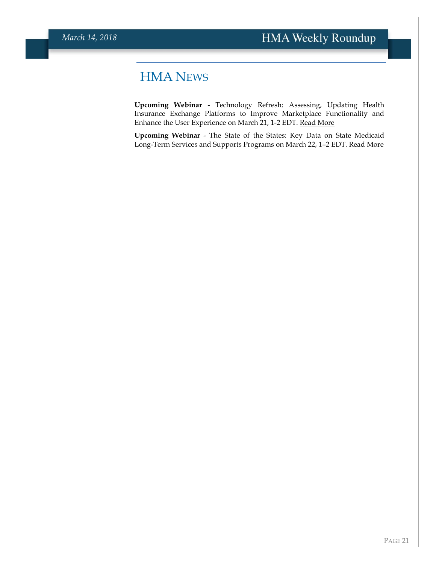## <span id="page-20-0"></span>HMA NEWS

**Upcoming Webinar** - Technology Refresh: Assessing, Updating Health Insurance Exchange Platforms to Improve Marketplace Functionality and Enhance the User Experience on March 21, 1-2 EDT. [Read More](https://www.healthmanagement.com/knowledge-share/webinars/technology-refresh-assessing-updating-health-insurance-exchange-platforms-improve-marketplace-functionality-enhance-user-experience/)

**Upcoming Webinar** - The State of the States: Key Data on State Medicaid Long-Term Services and Supports Programs on March 22, 1–2 EDT. [Read More](https://www.healthmanagement.com/knowledge-share/webinars/state-states-key-data-state-medicaid-long-term-services-supports-programs/)